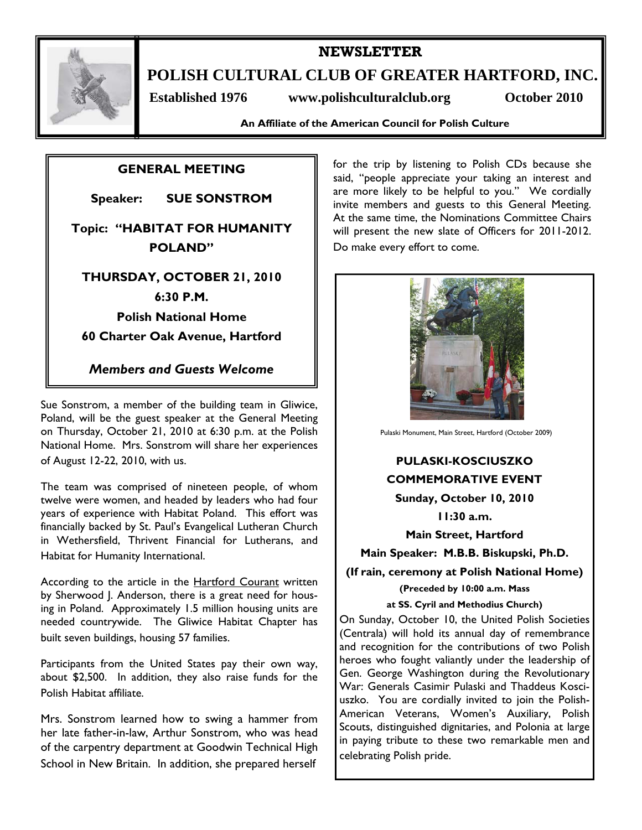

## **NEWSLETTER**

**POLISH CULTURAL CLUB OF GREATER HARTFORD, INC.** 

 **Established 1976 www.polishculturalclub.org October 2010** 

**An Affiliate of the American Council for Polish Culture** 

## **GENERAL MEETING**

**Speaker: SUE SONSTROM** 

# **Topic: "HABITAT FOR HUMANITY POLAND"**

## **THURSDAY, OCTOBER 21, 2010**

## **6:30 P.M.**

**Polish National Home** 

**60 Charter Oak Avenue, Hartford** 

*Members and Guests Welcome* 

Sue Sonstrom, a member of the building team in Gliwice, Poland, will be the guest speaker at the General Meeting on Thursday, October 21, 2010 at 6:30 p.m. at the Polish National Home. Mrs. Sonstrom will share her experiences of August 12-22, 2010, with us.

The team was comprised of nineteen people, of whom twelve were women, and headed by leaders who had four years of experience with Habitat Poland. This effort was financially backed by St. Paul's Evangelical Lutheran Church in Wethersfield, Thrivent Financial for Lutherans, and Habitat for Humanity International.

According to the article in the **Hartford Courant** written by Sherwood J. Anderson, there is a great need for housing in Poland. Approximately 1.5 million housing units are needed countrywide. The Gliwice Habitat Chapter has built seven buildings, housing 57 families.

Participants from the United States pay their own way, about \$2,500. In addition, they also raise funds for the Polish Habitat affiliate.

Mrs. Sonstrom learned how to swing a hammer from her late father-in-law, Arthur Sonstrom, who was head of the carpentry department at Goodwin Technical High School in New Britain. In addition, she prepared herself

for the trip by listening to Polish CDs because she said, "people appreciate your taking an interest and are more likely to be helpful to you." We cordially invite members and guests to this General Meeting. At the same time, the Nominations Committee Chairs will present the new slate of Officers for 2011-2012. Do make every effort to come.



Pulaski Monument, Main Street, Hartford (October 2009)

# **PULASKI-KOSCIUSZKO COMMEMORATIVE EVENT**

**Sunday, October 10, 2010** 

**11:30 a.m.** 

**Main Street, Hartford** 

**Main Speaker: M.B.B. Biskupski, Ph.D.** 

**(If rain, ceremony at Polish National Home)** 

**(Preceded by 10:00 a.m. Mass** 

**at SS. Cyril and Methodius Church)**

On Sunday, October 10, the United Polish Societies (Centrala) will hold its annual day of remembrance and recognition for the contributions of two Polish heroes who fought valiantly under the leadership of Gen. George Washington during the Revolutionary War: Generals Casimir Pulaski and Thaddeus Kosciuszko. You are cordially invited to join the Polish-American Veterans, Women's Auxiliary, Polish Scouts, distinguished dignitaries, and Polonia at large in paying tribute to these two remarkable men and celebrating Polish pride.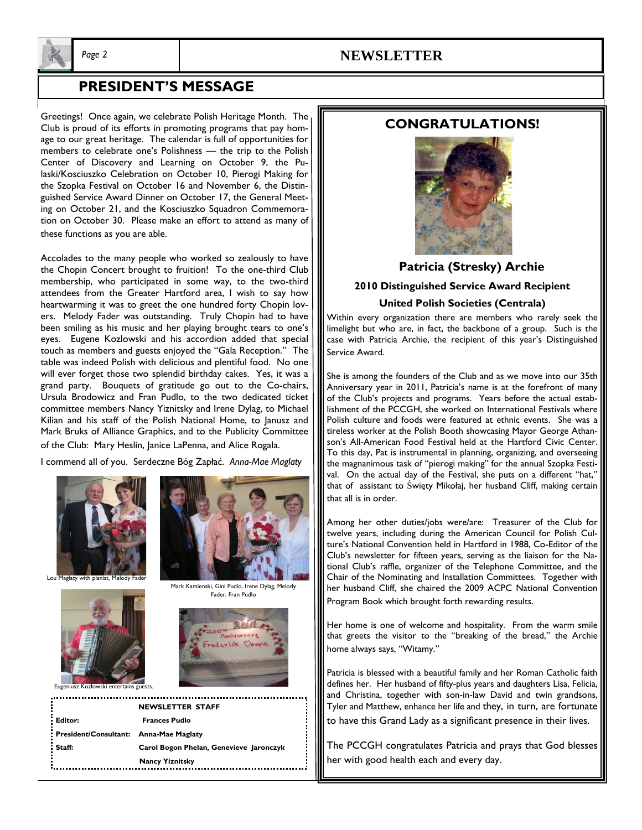

### *Page 2* **NEWSLETTER**

## **PRESIDENT'S MESSAGE**

Greetings! Once again, we celebrate Polish Heritage Month. The Club is proud of its efforts in promoting programs that pay homage to our great heritage. The calendar is full of opportunities for members to celebrate one's Polishness — the trip to the Polish Center of Discovery and Learning on October 9, the Pulaski/Kosciuszko Celebration on October 10, Pierogi Making for the Szopka Festival on October 16 and November 6, the Distinguished Service Award Dinner on October 17, the General Meeting on October 21, and the Kosciuszko Squadron Commemoration on October 30. Please make an effort to attend as many of these functions as you are able.

Accolades to the many people who worked so zealously to have the Chopin Concert brought to fruition! To the one-third Club membership, who participated in some way, to the two-third attendees from the Greater Hartford area, I wish to say how heartwarming it was to greet the one hundred forty Chopin lovers. Melody Fader was outstanding. Truly Chopin had to have been smiling as his music and her playing brought tears to one's eyes. Eugene Kozlowski and his accordion added that special touch as members and guests enjoyed the "Gala Reception." The table was indeed Polish with delicious and plentiful food. No one will ever forget those two splendid birthday cakes. Yes, it was a grand party. Bouquets of gratitude go out to the Co-chairs, Ursula Brodowicz and Fran Pudlo, to the two dedicated ticket committee members Nancy Yiznitsky and Irene Dylag, to Michael Kilian and his staff of the Polish National Home, to Janusz and Mark Bruks of Alliance Graphics, and to the Publicity Committee of the Club: Mary Heslin, Janice LaPenna, and Alice Rogala.

I commend all of you. Serdeczne Bóg Zapłać. *Anna-Mae Maglaty*





Lou Maglaty with pia



Isz Kozłowski entertains gue

Mark Kamienski, Gini Pudlo, Irene Dylag, Melody Fader, Fran Pudlo



| <b>NEWSLETTER STAFF</b>                |                                         |
|----------------------------------------|-----------------------------------------|
| Editor:                                | <b>Frances Pudlo</b>                    |
| President/Consultant: Anna-Mae Maglaty |                                         |
| Staff:                                 | Carol Bogon Phelan, Genevieve Jaronczyk |
|                                        | <b>Nancy Yiznitsky</b>                  |

### **CONGRATULATIONS!**



# **2010 Distinguished Service Award Recipient United Polish Societies (Centrala) Patricia (Stresky) Archie**

Within every organization there are members who rarely seek the limelight but who are, in fact, the backbone of a group. Such is the case with Patricia Archie, the recipient of this year's Distinguished Service Award.

She is among the founders of the Club and as we move into our 35th Anniversary year in 2011, Patricia's name is at the forefront of many of the Club's projects and programs. Years before the actual establishment of the PCCGH, she worked on International Festivals where Polish culture and foods were featured at ethnic events. She was a tireless worker at the Polish Booth showcasing Mayor George Athanson's All-American Food Festival held at the Hartford Civic Center. To this day, Pat is instrumental in planning, organizing, and overseeing the magnanimous task of "pierogi making" for the annual Szopka Festival. On the actual day of the Festival, she puts on a different "hat," that of assistant to Święty Mikołaj, her husband Cliff, making certain that all is in order.

Among her other duties/jobs were/are: Treasurer of the Club for twelve years, including during the American Council for Polish Culture's National Convention held in Hartford in 1988, Co-Editor of the Club's newsletter for fifteen years, serving as the liaison for the National Club's raffle, organizer of the Telephone Committee, and the Chair of the Nominating and Installation Committees. Together with her husband Cliff, she chaired the 2009 ACPC National Convention Program Book which brought forth rewarding results.

Her home is one of welcome and hospitality. From the warm smile that greets the visitor to the "breaking of the bread," the Archie home always says, "Witamy."

Patricia is blessed with a beautiful family and her Roman Catholic faith defines her. Her husband of fifty-plus years and daughters Lisa, Felicia, and Christina, together with son-in-law David and twin grandsons, Tyler and Matthew, enhance her life and they, in turn, are fortunate to have this Grand Lady as a significant presence in their lives.

The PCCGH congratulates Patricia and prays that God blesses her with good health each and every day.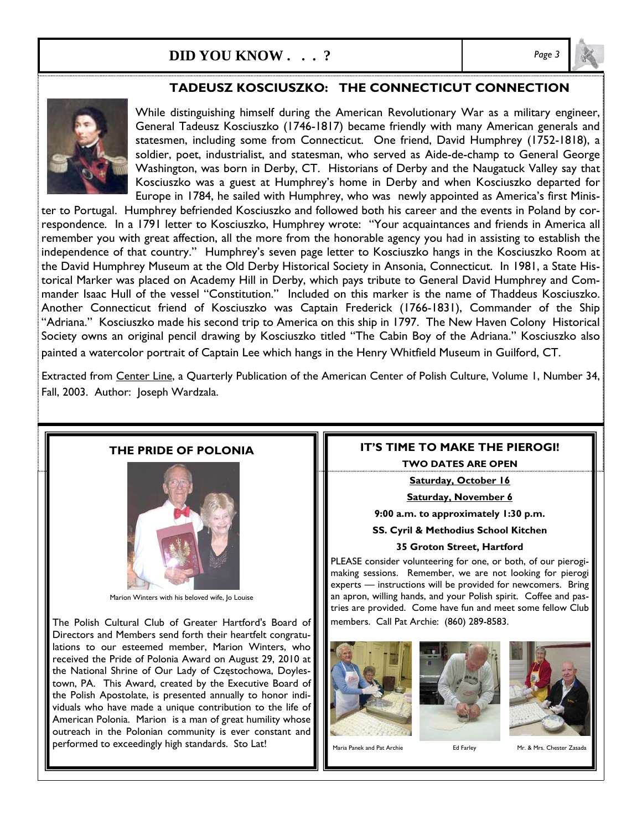# **DID YOU KNOW . . . ?** *Page 3*

## **TADEUSZ KOSCIUSZKO: THE CONNECTICUT CONNECTION**



While distinguishing himself during the American Revolutionary War as a military engineer, General Tadeusz Kosciuszko (1746-1817) became friendly with many American generals and statesmen, including some from Connecticut. One friend, David Humphrey (1752-1818), a soldier, poet, industrialist, and statesman, who served as Aide-de-champ to General George Washington, was born in Derby, CT. Historians of Derby and the Naugatuck Valley say that Kosciuszko was a guest at Humphrey's home in Derby and when Kosciuszko departed for Europe in 1784, he sailed with Humphrey, who was newly appointed as America's first Minis-

ter to Portugal. Humphrey befriended Kosciuszko and followed both his career and the events in Poland by correspondence. In a 1791 letter to Kosciuszko, Humphrey wrote: "Your acquaintances and friends in America all remember you with great affection, all the more from the honorable agency you had in assisting to establish the independence of that country." Humphrey's seven page letter to Kosciuszko hangs in the Kosciuszko Room at the David Humphrey Museum at the Old Derby Historical Society in Ansonia, Connecticut. In 1981, a State Historical Marker was placed on Academy Hill in Derby, which pays tribute to General David Humphrey and Commander Isaac Hull of the vessel "Constitution." Included on this marker is the name of Thaddeus Kosciuszko. Another Connecticut friend of Kosciuszko was Captain Frederick (1766-1831), Commander of the Ship "Adriana." Kosciuszko made his second trip to America on this ship in 1797. The New Haven Colony Historical Society owns an original pencil drawing by Kosciuszko titled "The Cabin Boy of the Adriana." Kosciuszko also painted a watercolor portrait of Captain Lee which hangs in the Henry Whitfield Museum in Guilford, CT.

Extracted from Center Line, a Quarterly Publication of the American Center of Polish Culture, Volume 1, Number 34, Fall, 2003. Author: Joseph Wardzala.

### **THE PRIDE OF POLONIA**



Marion Winters with his beloved wife, Jo Louise

The Polish Cultural Club of Greater Hartford's Board of Directors and Members send forth their heartfelt congratulations to our esteemed member, Marion Winters, who received the Pride of Polonia Award on August 29, 2010 at the National Shrine of Our Lady of Częstochowa, Doylestown, PA. This Award, created by the Executive Board of the Polish Apostolate, is presented annually to honor individuals who have made a unique contribution to the life of American Polonia. Marion is a man of great humility whose outreach in the Polonian community is ever constant and performed to exceedingly high standards. Sto Lat!

### **IT'S TIME TO MAKE THE PIEROGI!**

**TWO DATES ARE OPEN** 

**Saturday, October 16** 

**Saturday, November 6**

**9:00 a.m. to approximately 1:30 p.m.** 

**SS. Cyril & Methodius School Kitchen** 

#### **35 Groton Street, Hartford**

PLEASE consider volunteering for one, or both, of our pierogimaking sessions. Remember, we are not looking for pierogi experts — instructions will be provided for newcomers. Bring an apron, willing hands, and your Polish spirit. Coffee and pastries are provided. Come have fun and meet some fellow Club members. Call Pat Archie: (860) 289-8583.







Maria Panek and Pat Archie **Ed Farley** Mr. & Mrs. Chester Zasada